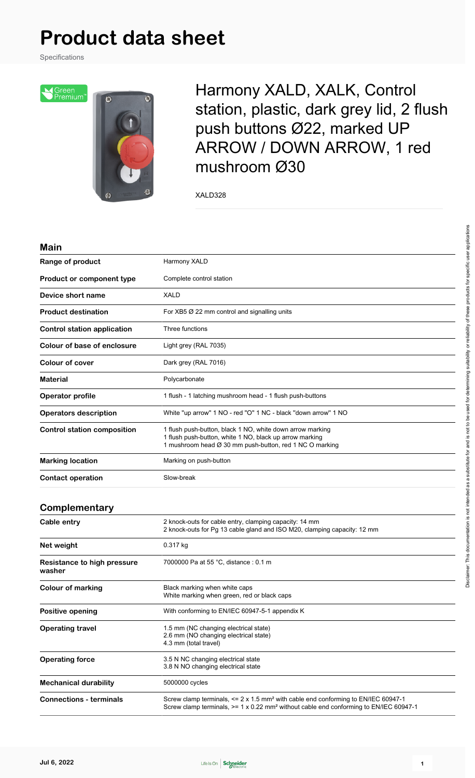# **Product data sheet**

Specifications



Harmony XALD, XALK, Control station, plastic, dark grey lid, 2 flush push buttons Ø22, marked UP ARROW / DOWN ARROW, 1 red mushroom Ø30

XALD328

| <b>Main</b>                           |                                                                                                                                                                                                                    |  |  |
|---------------------------------------|--------------------------------------------------------------------------------------------------------------------------------------------------------------------------------------------------------------------|--|--|
| Range of product                      | Harmony XALD                                                                                                                                                                                                       |  |  |
| Product or component type             | Complete control station                                                                                                                                                                                           |  |  |
| Device short name                     | <b>XALD</b>                                                                                                                                                                                                        |  |  |
| <b>Product destination</b>            | For XB5 $\varnothing$ 22 mm control and signalling units                                                                                                                                                           |  |  |
| <b>Control station application</b>    | Three functions                                                                                                                                                                                                    |  |  |
| Colour of base of enclosure           | Light grey (RAL 7035)                                                                                                                                                                                              |  |  |
| <b>Colour of cover</b>                | Dark grey (RAL 7016)                                                                                                                                                                                               |  |  |
| <b>Material</b>                       | Polycarbonate                                                                                                                                                                                                      |  |  |
| Operator profile                      | 1 flush - 1 latching mushroom head - 1 flush push-buttons                                                                                                                                                          |  |  |
| <b>Operators description</b>          | White "up arrow" 1 NO - red "O" 1 NC - black "down arrow" 1 NO                                                                                                                                                     |  |  |
| <b>Control station composition</b>    | 1 flush push-button, black 1 NO, white down arrow marking<br>1 flush push-button, white 1 NO, black up arrow marking<br>1 mushroom head Ø 30 mm push-button, red 1 NC O marking                                    |  |  |
| <b>Marking location</b>               | Marking on push-button                                                                                                                                                                                             |  |  |
| <b>Contact operation</b>              | Slow-break                                                                                                                                                                                                         |  |  |
| Complementary                         |                                                                                                                                                                                                                    |  |  |
| Cable entry                           | 2 knock-outs for cable entry, clamping capacity: 14 mm<br>2 knock-outs for Pg 13 cable gland and ISO M20, clamping capacity: 12 mm                                                                                 |  |  |
| Net weight                            | 0.317 kg                                                                                                                                                                                                           |  |  |
| Resistance to high pressure<br>washer | 7000000 Pa at 55 °C, distance : 0.1 m                                                                                                                                                                              |  |  |
| <b>Colour of marking</b>              | Black marking when white caps<br>White marking when green, red or black caps                                                                                                                                       |  |  |
| <b>Positive opening</b>               | With conforming to EN/IEC 60947-5-1 appendix K                                                                                                                                                                     |  |  |
| <b>Operating travel</b>               | 1.5 mm (NC changing electrical state)<br>2.6 mm (NO changing electrical state)<br>4.3 mm (total travel)                                                                                                            |  |  |
| <b>Operating force</b>                | 3.5 N NC changing electrical state<br>3.8 N NO changing electrical state                                                                                                                                           |  |  |
| <b>Mechanical durability</b>          | 5000000 cycles                                                                                                                                                                                                     |  |  |
| <b>Connections - terminals</b>        | Screw clamp terminals, $\leq 2 \times 1.5$ mm <sup>2</sup> with cable end conforming to EN/IEC 60947-1<br>Screw clamp terminals, $>= 1 \times 0.22$ mm <sup>2</sup> without cable end conforming to EN/IEC 60947-1 |  |  |

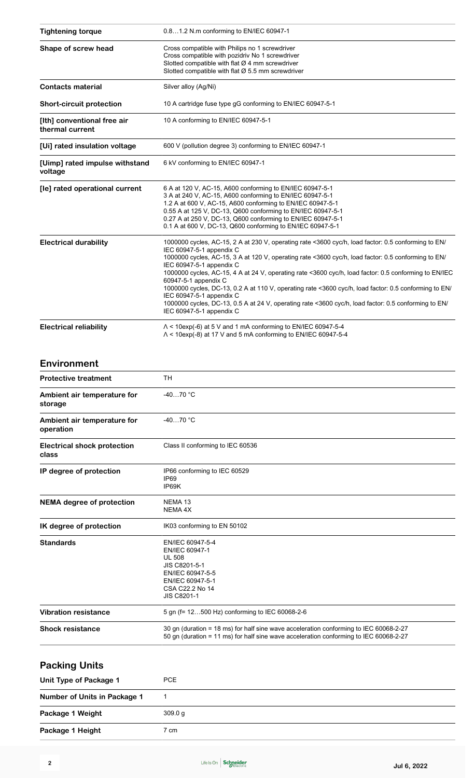| <b>Tightening torque</b>                       | 0.81.2 N.m conforming to EN/IEC 60947-1                                                                                                                                                                                                                                                                                                                                                                                                                                                                                                                                                                                                                                      |  |  |
|------------------------------------------------|------------------------------------------------------------------------------------------------------------------------------------------------------------------------------------------------------------------------------------------------------------------------------------------------------------------------------------------------------------------------------------------------------------------------------------------------------------------------------------------------------------------------------------------------------------------------------------------------------------------------------------------------------------------------------|--|--|
| Shape of screw head                            | Cross compatible with Philips no 1 screwdriver<br>Cross compatible with pozidriv No 1 screwdriver<br>Slotted compatible with flat $Ø$ 4 mm screwdriver<br>Slotted compatible with flat Ø 5.5 mm screwdriver                                                                                                                                                                                                                                                                                                                                                                                                                                                                  |  |  |
| <b>Contacts material</b>                       | Silver alloy (Ag/Ni)                                                                                                                                                                                                                                                                                                                                                                                                                                                                                                                                                                                                                                                         |  |  |
| <b>Short-circuit protection</b>                | 10 A cartridge fuse type gG conforming to EN/IEC 60947-5-1                                                                                                                                                                                                                                                                                                                                                                                                                                                                                                                                                                                                                   |  |  |
| [Ith] conventional free air<br>thermal current | 10 A conforming to EN/IEC 60947-5-1                                                                                                                                                                                                                                                                                                                                                                                                                                                                                                                                                                                                                                          |  |  |
| [Ui] rated insulation voltage                  | 600 V (pollution degree 3) conforming to EN/IEC 60947-1                                                                                                                                                                                                                                                                                                                                                                                                                                                                                                                                                                                                                      |  |  |
| [Uimp] rated impulse withstand<br>voltage      | 6 kV conforming to EN/IEC 60947-1                                                                                                                                                                                                                                                                                                                                                                                                                                                                                                                                                                                                                                            |  |  |
| [le] rated operational current                 | 6 A at 120 V, AC-15, A600 conforming to EN/IEC 60947-5-1<br>3 A at 240 V, AC-15, A600 conforming to EN/IEC 60947-5-1<br>1.2 A at 600 V, AC-15, A600 conforming to EN/IEC 60947-5-1<br>0.55 A at 125 V, DC-13, Q600 conforming to EN/IEC 60947-5-1<br>0.27 A at 250 V, DC-13, Q600 conforming to EN/IEC 60947-5-1<br>0.1 A at 600 V, DC-13, Q600 conforming to EN/IEC 60947-5-1                                                                                                                                                                                                                                                                                               |  |  |
| <b>Electrical durability</b>                   | 1000000 cycles, AC-15, 2 A at 230 V, operating rate <3600 cyc/h, load factor: 0.5 conforming to EN/<br>IEC 60947-5-1 appendix C<br>1000000 cycles, AC-15, 3 A at 120 V, operating rate <3600 cyc/h, load factor: 0.5 conforming to EN/<br>IEC 60947-5-1 appendix C<br>1000000 cycles, AC-15, 4 A at 24 V, operating rate <3600 cyc/h, load factor: 0.5 conforming to EN/IEC<br>60947-5-1 appendix C<br>1000000 cycles, DC-13, 0.2 A at 110 V, operating rate <3600 cyc/h, load factor: 0.5 conforming to EN/<br>IEC 60947-5-1 appendix C<br>1000000 cycles, DC-13, 0.5 A at 24 V, operating rate <3600 cyc/h, load factor: 0.5 conforming to EN/<br>IEC 60947-5-1 appendix C |  |  |
| <b>Electrical reliability</b>                  | $\Lambda$ < 10exp(-6) at 5 V and 1 mA conforming to EN/IEC 60947-5-4<br>$\Lambda$ < 10exp(-8) at 17 V and 5 mA conforming to EN/IEC 60947-5-4                                                                                                                                                                                                                                                                                                                                                                                                                                                                                                                                |  |  |

#### **Environment**

| <b>Protective treatment</b>                 | <b>TH</b>                                                                                                                                                                      |  |  |
|---------------------------------------------|--------------------------------------------------------------------------------------------------------------------------------------------------------------------------------|--|--|
| Ambient air temperature for<br>storage      | $-4070 °C$                                                                                                                                                                     |  |  |
| Ambient air temperature for<br>operation    | $-4070 °C$                                                                                                                                                                     |  |  |
| <b>Electrical shock protection</b><br>class | Class II conforming to IEC 60536                                                                                                                                               |  |  |
| IP degree of protection                     | IP66 conforming to IEC 60529<br>IP <sub>69</sub><br>IP69K                                                                                                                      |  |  |
| <b>NEMA</b> degree of protection            | NEMA <sub>13</sub><br><b>NEMA 4X</b>                                                                                                                                           |  |  |
| IK degree of protection                     | IK03 conforming to EN 50102                                                                                                                                                    |  |  |
| <b>Standards</b>                            | EN/IEC 60947-5-4<br>EN/IEC 60947-1<br><b>UL 508</b><br>JIS C8201-5-1<br>EN/IEC 60947-5-5<br>EN/IEC 60947-5-1<br>CSA C22.2 No 14<br><b>JIS C8201-1</b>                          |  |  |
| <b>Vibration resistance</b>                 | 5 gn (f= 12500 Hz) conforming to IEC 60068-2-6                                                                                                                                 |  |  |
| <b>Shock resistance</b>                     | 30 gn (duration = 18 ms) for half sine wave acceleration conforming to IEC 60068-2-27<br>50 gn (duration = 11 ms) for half sine wave acceleration conforming to IEC 60068-2-27 |  |  |

| <b>Packing Units</b>         |         |  |
|------------------------------|---------|--|
| Unit Type of Package 1       | PCE.    |  |
| Number of Units in Package 1 |         |  |
| Package 1 Weight             | 309.0 g |  |
| Package 1 Height             | ' cm    |  |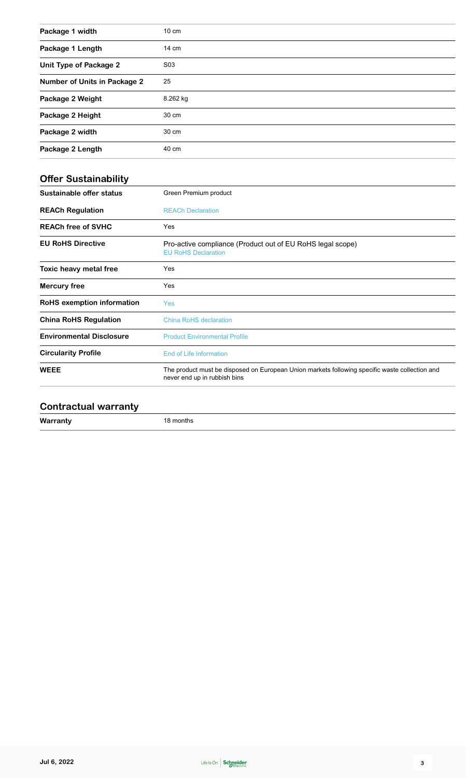| Package 1 width              | $10 \text{ cm}$ |
|------------------------------|-----------------|
| Package 1 Length             | 14 cm           |
| Unit Type of Package 2       | S03             |
| Number of Units in Package 2 | 25              |
| Package 2 Weight             | 8.262 kg        |
| Package 2 Height             | 30 cm           |
| Package 2 width              | 30 cm           |
| Package 2 Length             | 40 cm           |

| Green Premium product                                                                                                          |  |
|--------------------------------------------------------------------------------------------------------------------------------|--|
| <b>REACh Declaration</b>                                                                                                       |  |
| Yes                                                                                                                            |  |
| Pro-active compliance (Product out of EU RoHS legal scope)<br><b>EU RoHS Declaration</b>                                       |  |
| Yes                                                                                                                            |  |
| Yes                                                                                                                            |  |
| <b>Yes</b>                                                                                                                     |  |
| China RoHS declaration                                                                                                         |  |
| <b>Product Environmental Profile</b>                                                                                           |  |
| End of Life Information                                                                                                        |  |
| The product must be disposed on European Union markets following specific waste collection and<br>never end up in rubbish bins |  |
|                                                                                                                                |  |

### **Contractual warranty**

**Warranty** 18 months